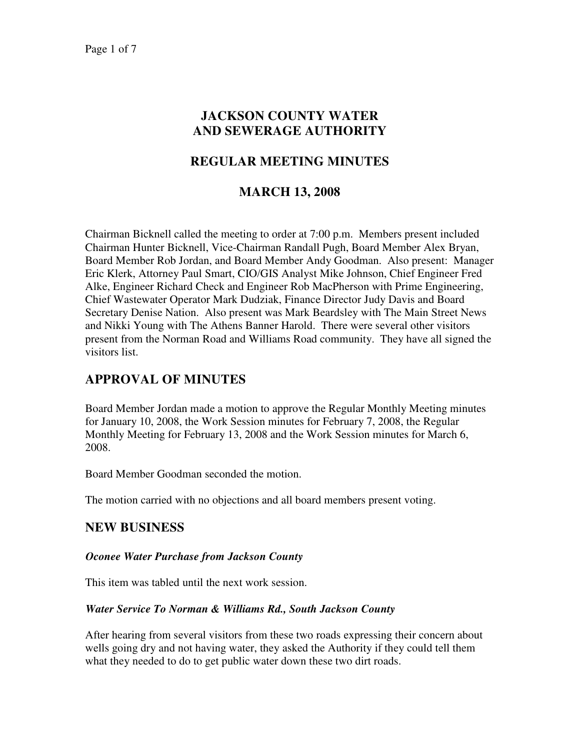# **JACKSON COUNTY WATER AND SEWERAGE AUTHORITY**

## **REGULAR MEETING MINUTES**

## **MARCH 13, 2008**

Chairman Bicknell called the meeting to order at 7:00 p.m. Members present included Chairman Hunter Bicknell, Vice-Chairman Randall Pugh, Board Member Alex Bryan, Board Member Rob Jordan, and Board Member Andy Goodman. Also present: Manager Eric Klerk, Attorney Paul Smart, CIO/GIS Analyst Mike Johnson, Chief Engineer Fred Alke, Engineer Richard Check and Engineer Rob MacPherson with Prime Engineering, Chief Wastewater Operator Mark Dudziak, Finance Director Judy Davis and Board Secretary Denise Nation. Also present was Mark Beardsley with The Main Street News and Nikki Young with The Athens Banner Harold. There were several other visitors present from the Norman Road and Williams Road community. They have all signed the visitors list.

# **APPROVAL OF MINUTES**

Board Member Jordan made a motion to approve the Regular Monthly Meeting minutes for January 10, 2008, the Work Session minutes for February 7, 2008, the Regular Monthly Meeting for February 13, 2008 and the Work Session minutes for March 6, 2008.

Board Member Goodman seconded the motion.

The motion carried with no objections and all board members present voting.

## **NEW BUSINESS**

### *Oconee Water Purchase from Jackson County*

This item was tabled until the next work session.

### *Water Service To Norman & Williams Rd., South Jackson County*

After hearing from several visitors from these two roads expressing their concern about wells going dry and not having water, they asked the Authority if they could tell them what they needed to do to get public water down these two dirt roads.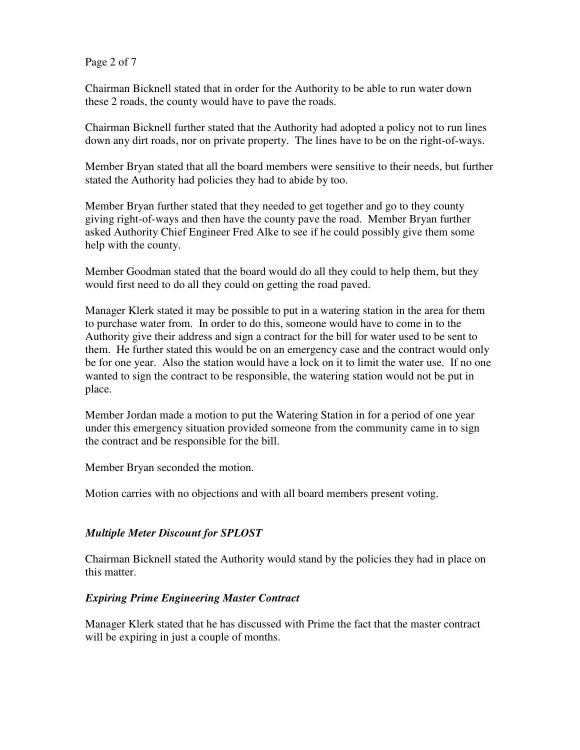Page 2 of 7

Chairman Bicknell stated that in order for the Authority to be able to run water down these 2 roads, the county would have to pave the roads.

Chairman Bicknell further stated that the Authority had adopted a policy not to run lines down any dirt roads, nor on private property. The lines have to be on the right-of-ways.

Member Bryan stated that all the board members were sensitive to their needs, but further stated the Authority had policies they had to abide by too.

Member Bryan further stated that they needed to get together and go to they county giving right-of-ways and then have the county pave the road. Member Bryan further asked Authority Chief Engineer Fred Alke to see if he could possibly give them some help with the county.

Member Goodman stated that the board would do all they could to help them, but they would first need to do all they could on getting the road paved.

Manager Klerk stated it may be possible to put in a watering station in the area for them to purchase water from. In order to do this, someone would have to come in to the Authority give their address and sign a contract for the bill for water used to be sent to them. He further stated this would be on an emergency case and the contract would only be for one year. Also the station would have a lock on it to limit the water use. If no one wanted to sign the contract to be responsible, the watering station would not be put in place.

Member Jordan made a motion to put the Watering Station in for a period of one year under this emergency situation provided someone from the community came in to sign the contract and be responsible for the bill.

Member Bryan seconded the motion.

Motion carries with no objections and with all board members present voting.

### *Multiple Meter Discount for SPLOST*

Chairman Bicknell stated the Authority would stand by the policies they had in place on this matter.

### *Expiring Prime Engineering Master Contract*

Manager Klerk stated that he has discussed with Prime the fact that the master contract will be expiring in just a couple of months.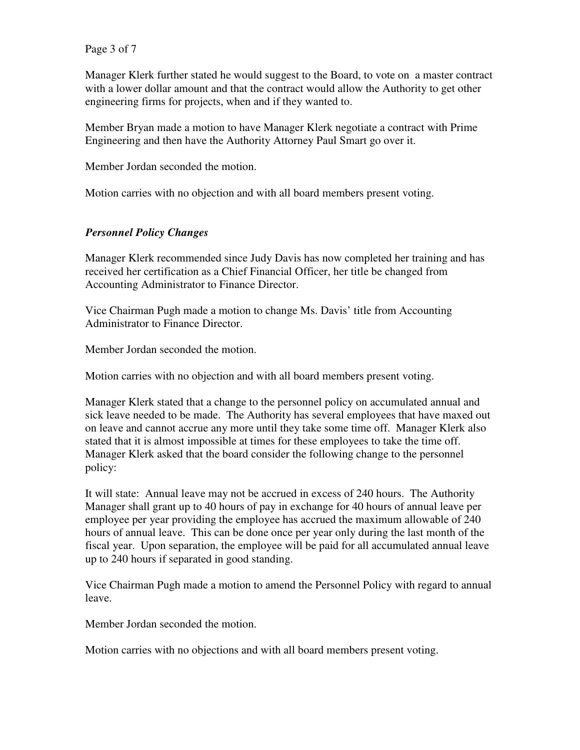Page 3 of 7

Manager Klerk further stated he would suggest to the Board, to vote on a master contract with a lower dollar amount and that the contract would allow the Authority to get other engineering firms for projects, when and if they wanted to.

Member Bryan made a motion to have Manager Klerk negotiate a contract with Prime Engineering and then have the Authority Attorney Paul Smart go over it.

Member Jordan seconded the motion.

Motion carries with no objection and with all board members present voting.

## *Personnel Policy Changes*

Manager Klerk recommended since Judy Davis has now completed her training and has received her certification as a Chief Financial Officer, her title be changed from Accounting Administrator to Finance Director.

Vice Chairman Pugh made a motion to change Ms. Davis' title from Accounting Administrator to Finance Director.

Member Jordan seconded the motion.

Motion carries with no objection and with all board members present voting.

Manager Klerk stated that a change to the personnel policy on accumulated annual and sick leave needed to be made. The Authority has several employees that have maxed out on leave and cannot accrue any more until they take some time off. Manager Klerk also stated that it is almost impossible at times for these employees to take the time off. Manager Klerk asked that the board consider the following change to the personnel policy:

It will state: Annual leave may not be accrued in excess of 240 hours. The Authority Manager shall grant up to 40 hours of pay in exchange for 40 hours of annual leave per employee per year providing the employee has accrued the maximum allowable of 240 hours of annual leave. This can be done once per year only during the last month of the fiscal year. Upon separation, the employee will be paid for all accumulated annual leave up to 240 hours if separated in good standing.

Vice Chairman Pugh made a motion to amend the Personnel Policy with regard to annual leave.

Member Jordan seconded the motion.

Motion carries with no objections and with all board members present voting.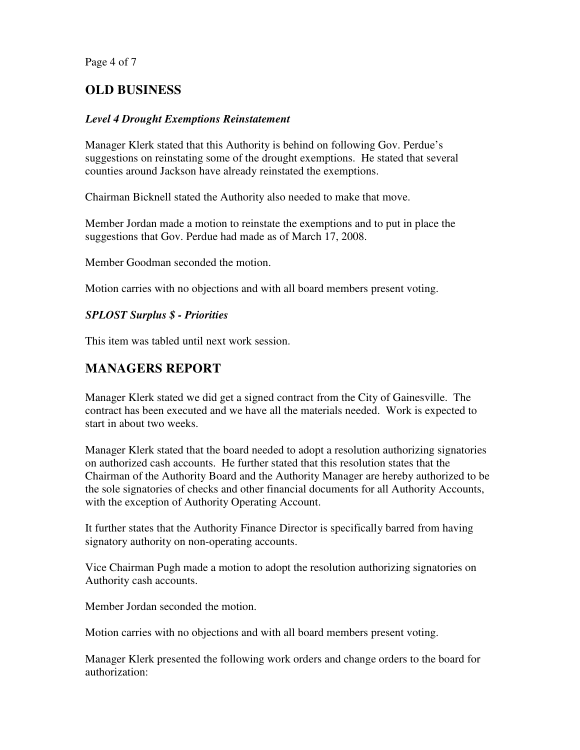Page 4 of 7

# **OLD BUSINESS**

## *Level 4 Drought Exemptions Reinstatement*

Manager Klerk stated that this Authority is behind on following Gov. Perdue's suggestions on reinstating some of the drought exemptions. He stated that several counties around Jackson have already reinstated the exemptions.

Chairman Bicknell stated the Authority also needed to make that move.

Member Jordan made a motion to reinstate the exemptions and to put in place the suggestions that Gov. Perdue had made as of March 17, 2008.

Member Goodman seconded the motion.

Motion carries with no objections and with all board members present voting.

## *SPLOST Surplus \$ - Priorities*

This item was tabled until next work session.

## **MANAGERS REPORT**

Manager Klerk stated we did get a signed contract from the City of Gainesville. The contract has been executed and we have all the materials needed. Work is expected to start in about two weeks.

Manager Klerk stated that the board needed to adopt a resolution authorizing signatories on authorized cash accounts. He further stated that this resolution states that the Chairman of the Authority Board and the Authority Manager are hereby authorized to be the sole signatories of checks and other financial documents for all Authority Accounts, with the exception of Authority Operating Account.

It further states that the Authority Finance Director is specifically barred from having signatory authority on non-operating accounts.

Vice Chairman Pugh made a motion to adopt the resolution authorizing signatories on Authority cash accounts.

Member Jordan seconded the motion.

Motion carries with no objections and with all board members present voting.

Manager Klerk presented the following work orders and change orders to the board for authorization: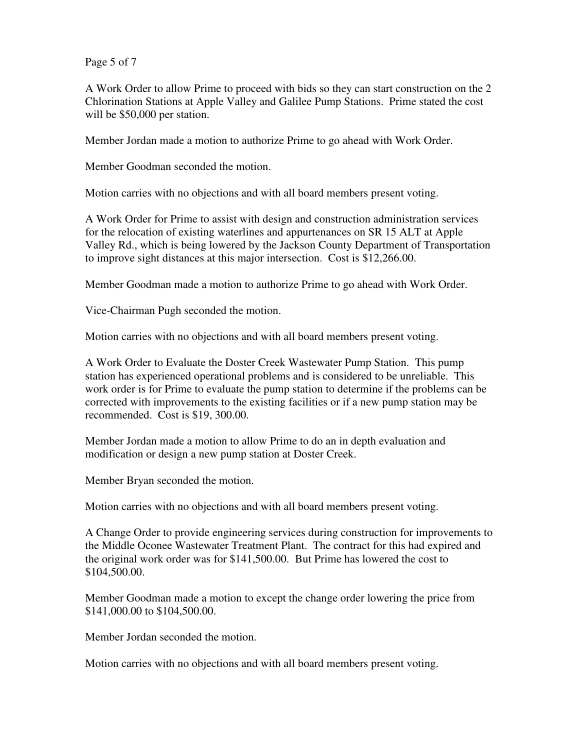Page 5 of 7

A Work Order to allow Prime to proceed with bids so they can start construction on the 2 Chlorination Stations at Apple Valley and Galilee Pump Stations. Prime stated the cost will be \$50,000 per station.

Member Jordan made a motion to authorize Prime to go ahead with Work Order.

Member Goodman seconded the motion.

Motion carries with no objections and with all board members present voting.

A Work Order for Prime to assist with design and construction administration services for the relocation of existing waterlines and appurtenances on SR 15 ALT at Apple Valley Rd., which is being lowered by the Jackson County Department of Transportation to improve sight distances at this major intersection. Cost is \$12,266.00.

Member Goodman made a motion to authorize Prime to go ahead with Work Order.

Vice-Chairman Pugh seconded the motion.

Motion carries with no objections and with all board members present voting.

A Work Order to Evaluate the Doster Creek Wastewater Pump Station. This pump station has experienced operational problems and is considered to be unreliable. This work order is for Prime to evaluate the pump station to determine if the problems can be corrected with improvements to the existing facilities or if a new pump station may be recommended. Cost is \$19, 300.00.

Member Jordan made a motion to allow Prime to do an in depth evaluation and modification or design a new pump station at Doster Creek.

Member Bryan seconded the motion.

Motion carries with no objections and with all board members present voting.

A Change Order to provide engineering services during construction for improvements to the Middle Oconee Wastewater Treatment Plant. The contract for this had expired and the original work order was for \$141,500.00. But Prime has lowered the cost to \$104,500.00.

Member Goodman made a motion to except the change order lowering the price from \$141,000.00 to \$104,500.00.

Member Jordan seconded the motion.

Motion carries with no objections and with all board members present voting.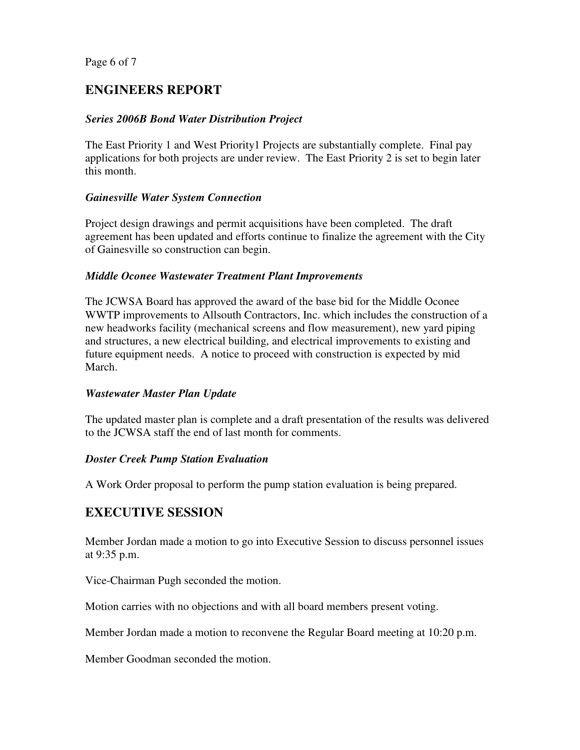Page 6 of 7

# **ENGINEERS REPORT**

## *Series 2006B Bond Water Distribution Project*

The East Priority 1 and West Priority1 Projects are substantially complete. Final pay applications for both projects are under review. The East Priority 2 is set to begin later this month.

### *Gainesville Water System Connection*

Project design drawings and permit acquisitions have been completed. The draft agreement has been updated and efforts continue to finalize the agreement with the City of Gainesville so construction can begin.

### *Middle Oconee Wastewater Treatment Plant Improvements*

The JCWSA Board has approved the award of the base bid for the Middle Oconee WWTP improvements to Allsouth Contractors, Inc. which includes the construction of a new headworks facility (mechanical screens and flow measurement), new yard piping and structures, a new electrical building, and electrical improvements to existing and future equipment needs. A notice to proceed with construction is expected by mid March.

### *Wastewater Master Plan Update*

The updated master plan is complete and a draft presentation of the results was delivered to the JCWSA staff the end of last month for comments.

### *Doster Creek Pump Station Evaluation*

A Work Order proposal to perform the pump station evaluation is being prepared.

# **EXECUTIVE SESSION**

Member Jordan made a motion to go into Executive Session to discuss personnel issues at 9:35 p.m.

Vice-Chairman Pugh seconded the motion.

Motion carries with no objections and with all board members present voting.

Member Jordan made a motion to reconvene the Regular Board meeting at 10:20 p.m.

Member Goodman seconded the motion.